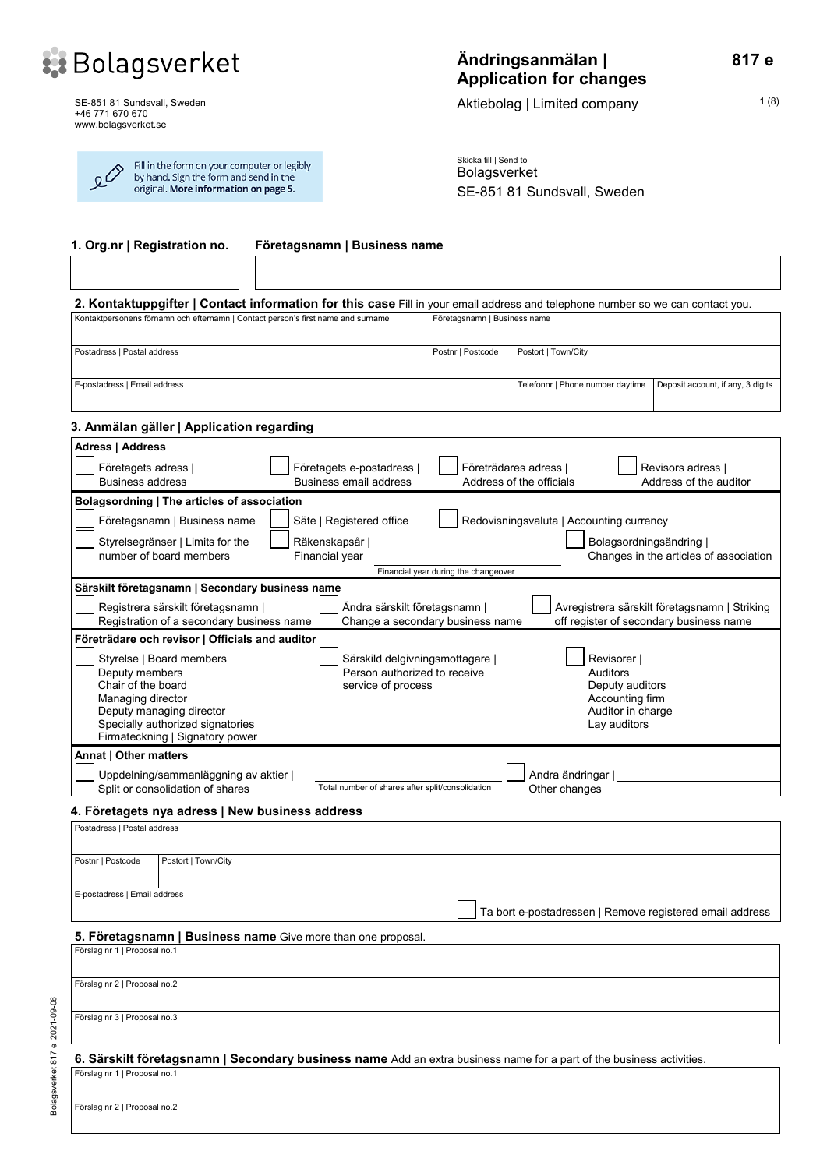

SE-851 81 Sundsvall, Sweden +46 771 670 670 www.bolagsverket.se

| Fill in the form on your computer or legibly<br>$\Omega^{\diamondsuit}$<br>by hand. Sign the form and send in the<br>original. More information on page 5. |  |
|------------------------------------------------------------------------------------------------------------------------------------------------------------|--|
|------------------------------------------------------------------------------------------------------------------------------------------------------------|--|

# **Ändringsanmälan | Application for changes**

Aktiebolag | Limited company 1(8)

Skicka till | Send to Bolagsverket SE-851 81 Sundsvall, Sweden

| 1. Org.nr   Registration no.<br>Företagsnamn   Business name                                                                                                                                                                                                                                                                                                |                                      |                                                          |                                                                                          |  |
|-------------------------------------------------------------------------------------------------------------------------------------------------------------------------------------------------------------------------------------------------------------------------------------------------------------------------------------------------------------|--------------------------------------|----------------------------------------------------------|------------------------------------------------------------------------------------------|--|
|                                                                                                                                                                                                                                                                                                                                                             |                                      |                                                          |                                                                                          |  |
| 2. Kontaktuppgifter   Contact information for this case Fill in your email address and telephone number so we can contact you.                                                                                                                                                                                                                              |                                      |                                                          |                                                                                          |  |
| Kontaktpersonens förnamn och efternamn   Contact person's first name and surname                                                                                                                                                                                                                                                                            | Företagsnamn   Business name         |                                                          |                                                                                          |  |
| Postadress   Postal address                                                                                                                                                                                                                                                                                                                                 | Postnr   Postcode                    | Postort   Town/City                                      |                                                                                          |  |
| E-postadress   Email address                                                                                                                                                                                                                                                                                                                                |                                      | Telefonnr   Phone number daytime                         | Deposit account, if any, 3 digits                                                        |  |
| 3. Anmälan gäller   Application regarding                                                                                                                                                                                                                                                                                                                   |                                      |                                                          |                                                                                          |  |
| <b>Adress   Address</b>                                                                                                                                                                                                                                                                                                                                     |                                      |                                                          |                                                                                          |  |
| Företagets adress  <br>Företagets e-postadress  <br>Business email address<br><b>Business address</b>                                                                                                                                                                                                                                                       |                                      | Företrädares adress  <br>Address of the officials        | Revisors adress  <br>Address of the auditor                                              |  |
| Bolagsordning   The articles of association                                                                                                                                                                                                                                                                                                                 |                                      |                                                          |                                                                                          |  |
| Företagsnamn   Business name<br>Säte   Registered office                                                                                                                                                                                                                                                                                                    |                                      | Redovisningsvaluta   Accounting currency                 |                                                                                          |  |
| Styrelsegränser   Limits for the<br>Räkenskapsår  <br>number of board members<br>Financial year                                                                                                                                                                                                                                                             | Financial year during the changeover | Bolagsordningsändring                                    | Changes in the articles of association                                                   |  |
| Särskilt företagsnamn   Secondary business name                                                                                                                                                                                                                                                                                                             |                                      |                                                          |                                                                                          |  |
| Registrera särskilt företagsnamn  <br>Ändra särskilt företagsnamn  <br>Registration of a secondary business name<br>Change a secondary business name                                                                                                                                                                                                        |                                      |                                                          | Avregistrera särskilt företagsnamn   Striking<br>off register of secondary business name |  |
| Företrädare och revisor   Officials and auditor                                                                                                                                                                                                                                                                                                             |                                      |                                                          |                                                                                          |  |
| Styrelse   Board members<br>Särskild delgivningsmottagare  <br>Revisorer  <br>Person authorized to receive<br>Deputy members<br><b>Auditors</b><br>Chair of the board<br>service of process<br>Deputy auditors<br>Managing director<br>Accounting firm<br>Auditor in charge<br>Deputy managing director<br>Specially authorized signatories<br>Lay auditors |                                      |                                                          |                                                                                          |  |
| Firmateckning   Signatory power                                                                                                                                                                                                                                                                                                                             |                                      |                                                          |                                                                                          |  |
| Annat   Other matters<br>Uppdelning/sammanläggning av aktier                                                                                                                                                                                                                                                                                                |                                      | Andra ändringar                                          |                                                                                          |  |
| Total number of shares after split/consolidation<br>Split or consolidation of shares                                                                                                                                                                                                                                                                        |                                      | Other changes                                            |                                                                                          |  |
| 4. Företagets nya adress   New business address                                                                                                                                                                                                                                                                                                             |                                      |                                                          |                                                                                          |  |
| Postadress   Postal address                                                                                                                                                                                                                                                                                                                                 |                                      |                                                          |                                                                                          |  |
| Postnr   Postcode<br>Postort   Town/City                                                                                                                                                                                                                                                                                                                    |                                      |                                                          |                                                                                          |  |
| E-postadress   Email address                                                                                                                                                                                                                                                                                                                                |                                      | Ta bort e-postadressen   Remove registered email address |                                                                                          |  |
| 5. Företagsnamn   Business name Give more than one proposal.                                                                                                                                                                                                                                                                                                |                                      |                                                          |                                                                                          |  |
| Förslag nr 1   Proposal no.1                                                                                                                                                                                                                                                                                                                                |                                      |                                                          |                                                                                          |  |
| Förslag nr 2   Proposal no.2                                                                                                                                                                                                                                                                                                                                |                                      |                                                          |                                                                                          |  |
| Förslag nr 3   Proposal no.3                                                                                                                                                                                                                                                                                                                                |                                      |                                                          |                                                                                          |  |
| 6. Särskilt företagsnamn   Secondary business name Add an extra business name for a part of the business activities.                                                                                                                                                                                                                                        |                                      |                                                          |                                                                                          |  |
| Förslag nr 1   Proposal no.1                                                                                                                                                                                                                                                                                                                                |                                      |                                                          |                                                                                          |  |
| Förslag nr 2   Proposal no.2                                                                                                                                                                                                                                                                                                                                |                                      |                                                          |                                                                                          |  |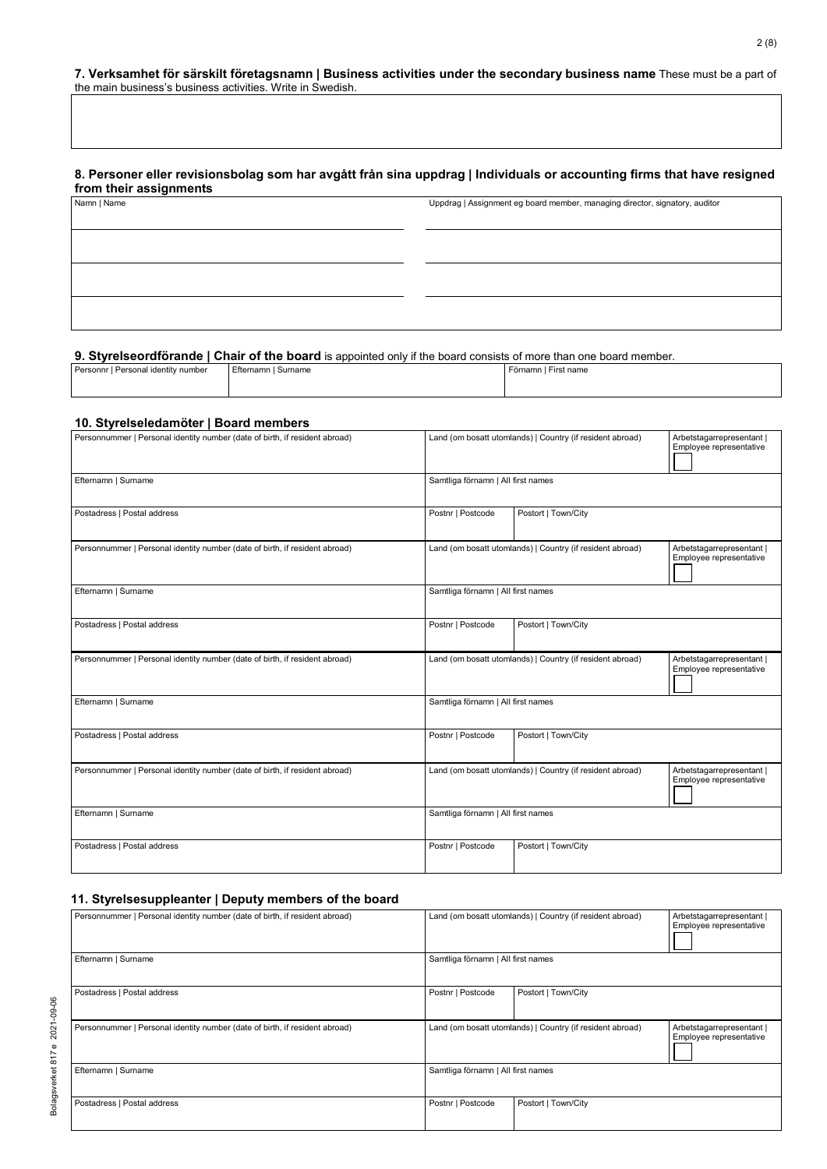#### **7. Verksamhet för särskilt företagsnamn | Business activities under the secondary business name** These must be a part of the main business's business activities. Write in Swedish.

#### **8. Personer eller revisionsbolag som har avgått från sina uppdrag | Individuals or accounting firms that have resigned from their assignments**

| . <b>. .</b><br>Namn   Name | Uppdrag   Assignment eg board member, managing director, signatory, auditor |  |  |
|-----------------------------|-----------------------------------------------------------------------------|--|--|
|                             |                                                                             |  |  |
|                             |                                                                             |  |  |
|                             |                                                                             |  |  |
|                             |                                                                             |  |  |
|                             |                                                                             |  |  |
|                             |                                                                             |  |  |
|                             |                                                                             |  |  |

# **9. Styrelseordförande | Chair of the board** is appointed only if the board consists of more than one board member.

| Personnr I Personal identity number<br>Efternamn I Surname |  |  |                      |
|------------------------------------------------------------|--|--|----------------------|
|                                                            |  |  | Förnamn I First name |
|                                                            |  |  |                      |

#### **10. Styrelseledamöter | Board members**

| Personnummer   Personal identity number (date of birth, if resident abroad) | Land (om bosatt utomlands)   Country (if resident abroad)                                                         |                     | Arbetstagarrepresentant  <br>Employee representative |
|-----------------------------------------------------------------------------|-------------------------------------------------------------------------------------------------------------------|---------------------|------------------------------------------------------|
| Efternamn   Surname                                                         | Samtliga förnamn   All first names                                                                                |                     |                                                      |
| Postadress   Postal address                                                 | Postnr   Postcode                                                                                                 | Postort   Town/City |                                                      |
| Personnummer   Personal identity number (date of birth, if resident abroad) | Land (om bosatt utomlands)   Country (if resident abroad)                                                         |                     | Arbetstagarrepresentant  <br>Employee representative |
| Efternamn   Surname                                                         | Samtliga förnamn   All first names                                                                                |                     |                                                      |
| Postadress   Postal address                                                 | Postnr   Postcode                                                                                                 | Postort   Town/City |                                                      |
| Personnummer   Personal identity number (date of birth, if resident abroad) | Land (om bosatt utomlands)   Country (if resident abroad)<br>Arbetstagarrepresentant  <br>Employee representative |                     |                                                      |
| Efternamn   Surname                                                         | Samtliga förnamn   All first names                                                                                |                     |                                                      |
| Postadress   Postal address                                                 | Postnr   Postcode                                                                                                 | Postort   Town/City |                                                      |
| Personnummer   Personal identity number (date of birth, if resident abroad) | Land (om bosatt utomlands)   Country (if resident abroad)                                                         |                     | Arbetstagarrepresentant  <br>Employee representative |
| Efternamn   Surname                                                         | Samtliga förnamn   All first names                                                                                |                     |                                                      |
| Postadress   Postal address                                                 | Postnr   Postcode                                                                                                 | Postort   Town/City |                                                      |

#### **11. Styrelsesuppleanter | Deputy members of the board**

| Personnummer   Personal identity number (date of birth, if resident abroad) | Land (om bosatt utomlands)   Country (if resident abroad) |                     | Arbetstagarrepresentant  <br>Employee representative |
|-----------------------------------------------------------------------------|-----------------------------------------------------------|---------------------|------------------------------------------------------|
| Efternamn   Surname                                                         | Samtliga förnamn   All first names                        |                     |                                                      |
| Postadress   Postal address                                                 | Postnr   Postcode                                         | Postort   Town/City |                                                      |
| Personnummer   Personal identity number (date of birth, if resident abroad) | Land (om bosatt utomlands)   Country (if resident abroad) |                     | Arbetstagarrepresentant  <br>Employee representative |
| Efternamn   Surname                                                         | Samtliga förnamn   All first names                        |                     |                                                      |
| Postadress   Postal address                                                 | Postnr   Postcode                                         | Postort   Town/City |                                                      |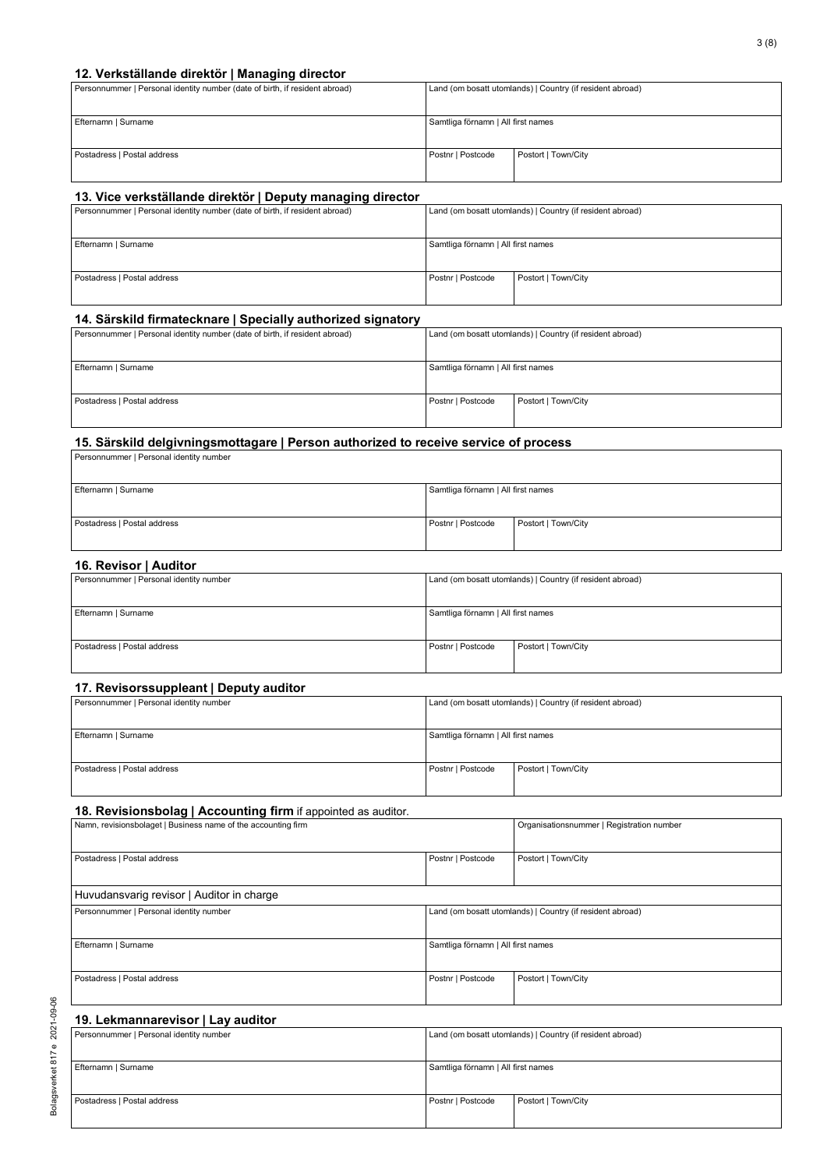#### **12. Verkställande direktör | Managing director**

| Personnummer   Personal identity number (date of birth, if resident abroad) | Land (om bosatt utomlands)   Country (if resident abroad) |                     |  |
|-----------------------------------------------------------------------------|-----------------------------------------------------------|---------------------|--|
|                                                                             |                                                           |                     |  |
| Efternamn   Surname                                                         | Samtliga förnamn   All first names                        |                     |  |
|                                                                             |                                                           |                     |  |
| Postadress   Postal address                                                 | Postnr   Postcode                                         | Postort   Town/City |  |
|                                                                             |                                                           |                     |  |

#### **13. Vice verkställande direktör | Deputy managing director**

| Personnummer   Personal identity number (date of birth, if resident abroad) | Land (om bosatt utomlands)   Country (if resident abroad) |                     |
|-----------------------------------------------------------------------------|-----------------------------------------------------------|---------------------|
|                                                                             |                                                           |                     |
| Efternamn   Surname                                                         | Samtliga förnamn   All first names                        |                     |
|                                                                             |                                                           |                     |
| Postadress   Postal address                                                 | Postnr   Postcode                                         | Postort   Town/City |
|                                                                             |                                                           |                     |

#### **14. Särskild firmatecknare | Specially authorized signatory**

| Personnummer   Personal identity number (date of birth, if resident abroad) |                                    | Land (om bosatt utomlands)   Country (if resident abroad) |
|-----------------------------------------------------------------------------|------------------------------------|-----------------------------------------------------------|
| Efternamn   Surname                                                         | Samtliga förnamn   All first names |                                                           |
| Postadress   Postal address                                                 | Postnr   Postcode                  | Postort   Town/City                                       |

#### **15. Särskild delgivningsmottagare | Person authorized to receive service of process**

| Personnummer   Personal identity number |                                    |                     |
|-----------------------------------------|------------------------------------|---------------------|
| Efternamn   Surname                     | Samtliga förnamn   All first names |                     |
| Postadress   Postal address             | Postnr   Postcode                  | Postort   Town/City |

#### **16. Revisor | Auditor**

| 19.101100117041001                      |                                                           |                     |
|-----------------------------------------|-----------------------------------------------------------|---------------------|
| Personnummer   Personal identity number | Land (om bosatt utomlands)   Country (if resident abroad) |                     |
|                                         |                                                           |                     |
| Efternamn   Surname                     | Samtliga förnamn   All first names                        |                     |
|                                         |                                                           |                     |
| Postadress   Postal address             | Postnr   Postcode                                         | Postort   Town/City |
|                                         |                                                           |                     |

#### **17. Revisorssuppleant | Deputy auditor**

| Personnummer   Personal identity number |                                    | Land (om bosatt utomlands)   Country (if resident abroad) |
|-----------------------------------------|------------------------------------|-----------------------------------------------------------|
| Efternamn   Surname                     | Samtliga förnamn   All first names |                                                           |
| Postadress   Postal address             | Postnr   Postcode                  | Postort   Town/City                                       |

#### **18. Revisionsbolag | Accounting firm** if appointed as auditor.

| Namn, revisionsbolaget   Business name of the accounting firm |                                                           | Organisationsnummer   Registration number |  |  |
|---------------------------------------------------------------|-----------------------------------------------------------|-------------------------------------------|--|--|
| Postadress   Postal address                                   | Postnr   Postcode                                         | Postort   Town/City                       |  |  |
| Huvudansvarig revisor   Auditor in charge                     |                                                           |                                           |  |  |
| Personnummer   Personal identity number                       | Land (om bosatt utomlands)   Country (if resident abroad) |                                           |  |  |
| Efternamn   Surname                                           | Samtliga förnamn   All first names                        |                                           |  |  |
| Postadress   Postal address                                   | Postnr   Postcode                                         | Postort   Town/City                       |  |  |

#### **19. Lekmannarevisor | Lay auditor**

| Personnummer   Personal identity number | Land (om bosatt utomlands)   Country (if resident abroad) |                     |  |
|-----------------------------------------|-----------------------------------------------------------|---------------------|--|
|                                         |                                                           |                     |  |
| Efternamn   Surname                     | Samtliga förnamn   All first names                        |                     |  |
|                                         |                                                           |                     |  |
| Postadress   Postal address             | Postnr   Postcode                                         | Postort   Town/City |  |
|                                         |                                                           |                     |  |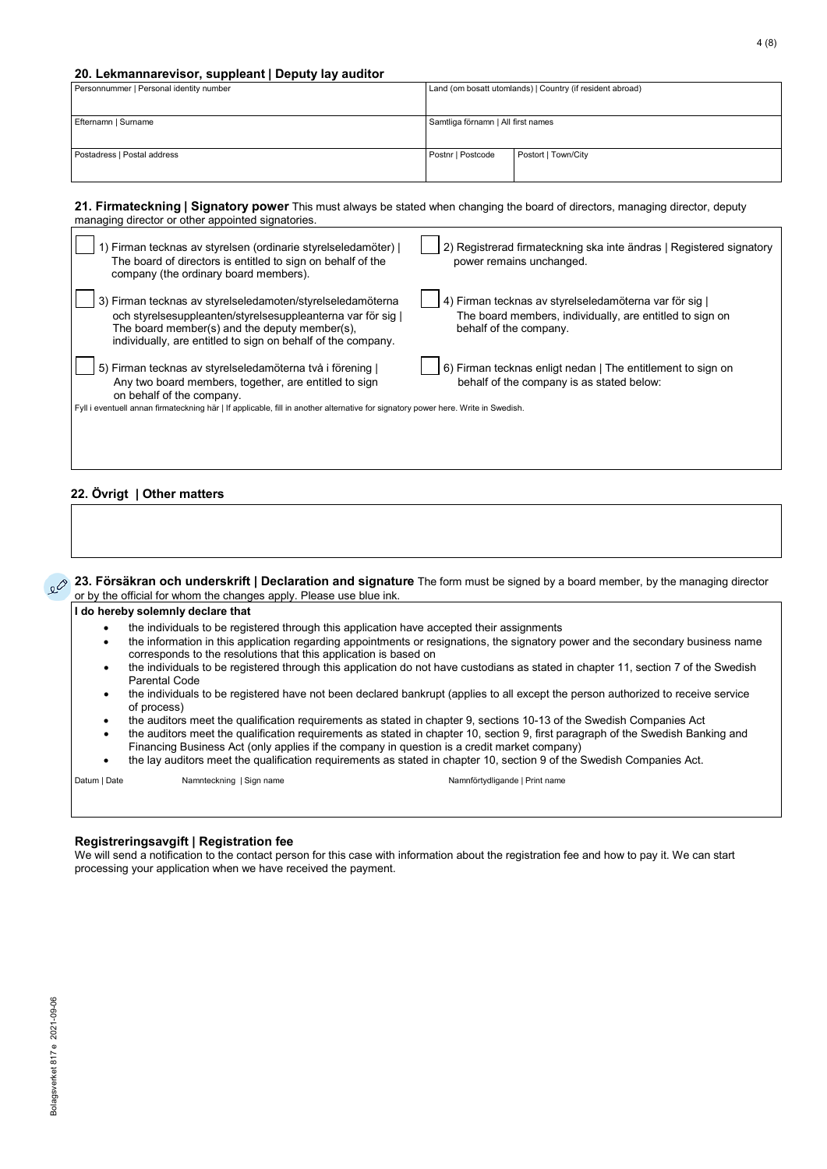#### **20. Lekmannarevisor, suppleant | Deputy lay auditor**

| Personnummer   Personal identity number |                                    | Land (om bosatt utomlands)   Country (if resident abroad) |
|-----------------------------------------|------------------------------------|-----------------------------------------------------------|
| Efternamn   Surname                     | Samtliga förnamn   All first names |                                                           |
| Postadress   Postal address             | Postnr   Postcode                  | Postort   Town/City                                       |

**21. Firmateckning | Signatory power** This must always be stated when changing the board of directors, managing director, deputy managing director or other appointed signatories.

| Firman tecknas av styrelsen (ordinarie styrelseledamöter)  <br>The board of directors is entitled to sign on behalf of the<br>company (the ordinary board members).                                                                        | 2) Registrerad firmateckning ska inte ändras   Registered signatory<br>power remains unchanged.                                            |
|--------------------------------------------------------------------------------------------------------------------------------------------------------------------------------------------------------------------------------------------|--------------------------------------------------------------------------------------------------------------------------------------------|
| 3) Firman tecknas av styrelseledamoten/styrelseledamöterna<br>och styrelsesuppleanten/styrelsesuppleanterna var för sig  <br>The board member(s) and the deputy member(s),<br>individually, are entitled to sign on behalf of the company. | 4) Firman tecknas av styrelseledamöterna var för sig<br>The board members, individually, are entitled to sign on<br>behalf of the company. |
| 5) Firman tecknas av styrelseledamöterna två i förening  <br>Any two board members, together, are entitled to sign<br>on behalf of the company.                                                                                            | 6) Firman tecknas enligt nedan   The entitlement to sign on<br>behalf of the company is as stated below:                                   |
| Fyll i eventuell annan firmateckning här   If applicable, fill in another alternative for signatory power here. Write in Swedish.                                                                                                          |                                                                                                                                            |

#### **22. Övrigt | Other matters**

**23. Försäkran och underskrift | Declaration and signature** The form must be signed by a board member, by the managing director or by the official for whom the changes apply. Please use blue ink.

#### **I do hereby solemnly declare that**

- the individuals to be registered through this application have accepted their assignments
- the information in this application regarding appointments or resignations, the signatory power and the secondary business name corresponds to the resolutions that this application is based on
- the individuals to be registered through this application do not have custodians as stated in chapter 11, section 7 of the Swedish Parental Code
- the individuals to be registered have not been declared bankrupt (applies to all except the person authorized to receive service of process)
- the auditors meet the qualification requirements as stated in chapter 9, sections 10-13 of the Swedish Companies Act
- the auditors meet the qualification requirements as stated in chapter 10, section 9, first paragraph of the Swedish Banking and Financing Business Act (only applies if the company in question is a credit market company)
- the lay auditors meet the qualification requirements as stated in chapter 10, section 9 of the Swedish Companies Act.

Datum | Date Namnteckning | Sign name Namnförtydligande | Print name

#### **Registreringsavgift | Registration fee**

We will send a notification to the contact person for this case with information about the registration fee and how to pay it. We can start processing your application when we have received the payment.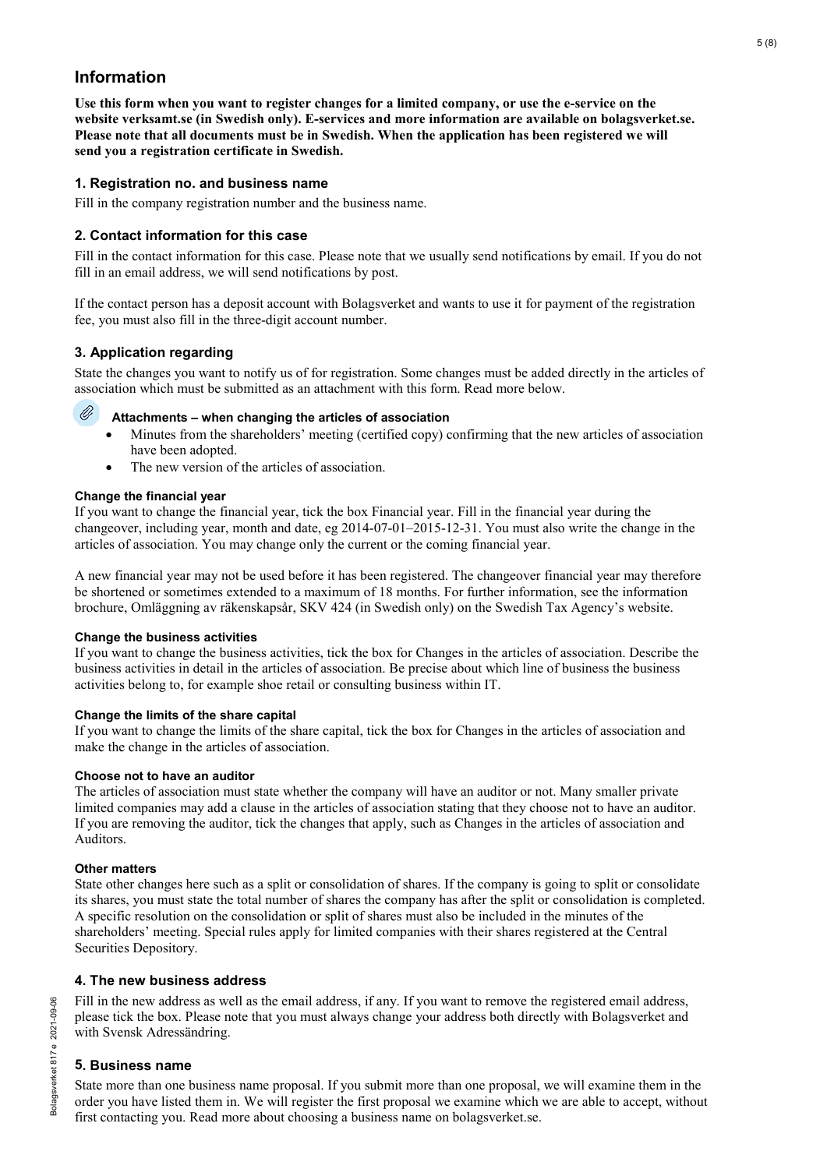# **Information**

**Use this form when you want to register changes for a limited company, or use the e-service on the website verksamt.se (in Swedish only). E-services and more information are available on bolagsverket.se. Please note that all documents must be in Swedish. When the application has been registered we will send you a registration certificate in Swedish.**

# **1. Registration no. and business name**

Fill in the company registration number and the business name.

# **2. Contact information for this case**

Fill in the contact information for this case. Please note that we usually send notifications by email. If you do not fill in an email address, we will send notifications by post.

If the contact person has a deposit account with Bolagsverket and wants to use it for payment of the registration fee, you must also fill in the three-digit account number.

# **3. Application regarding**

Ø

State the changes you want to notify us of for registration. Some changes must be added directly in the articles of association which must be submitted as an attachment with this form. Read more below.

### **Attachments – when changing the articles of association**

- Minutes from the shareholders' meeting (certified copy) confirming that the new articles of association have been adopted.
- The new version of the articles of association.

### **Change the financial year**

If you want to change the financial year, tick the box Financial year. Fill in the financial year during the changeover, including year, month and date, eg 2014-07-01–2015-12-31. You must also write the change in the articles of association. You may change only the current or the coming financial year.

A new financial year may not be used before it has been registered. The changeover financial year may therefore be shortened or sometimes extended to a maximum of 18 months. For further information, see the information brochure, Omläggning av räkenskapsår, SKV 424 (in Swedish only) on the Swedish Tax Agency's website.

### **Change the business activities**

If you want to change the business activities, tick the box for Changes in the articles of association. Describe the business activities in detail in the articles of association. Be precise about which line of business the business activities belong to, for example shoe retail or consulting business within IT.

### **Change the limits of the share capital**

If you want to change the limits of the share capital, tick the box for Changes in the articles of association and make the change in the articles of association.

### **Choose not to have an auditor**

The articles of association must state whether the company will have an auditor or not. Many smaller private limited companies may add a clause in the articles of association stating that they choose not to have an auditor. If you are removing the auditor, tick the changes that apply, such as Changes in the articles of association and Auditors.

### **Other matters**

State other changes here such as a split or consolidation of shares. If the company is going to split or consolidate its shares, you must state the total number of shares the company has after the split or consolidation is completed. A specific resolution on the consolidation or split of shares must also be included in the minutes of the shareholders' meeting. Special rules apply for limited companies with their shares registered at the Central Securities Depository.

### **4. The new business address**

Fill in the new address as well as the email address, if any. If you want to remove the registered email address, please tick the box. Please note that you must always change your address both directly with Bolagsverket and with Svensk Adressändring.

### **5. Business name**

State more than one business name proposal. If you submit more than one proposal, we will examine them in the order you have listed them in. We will register the first proposal we examine which we are able to accept, without first contacting you. Read more about choosing a business name on bolagsverket.se.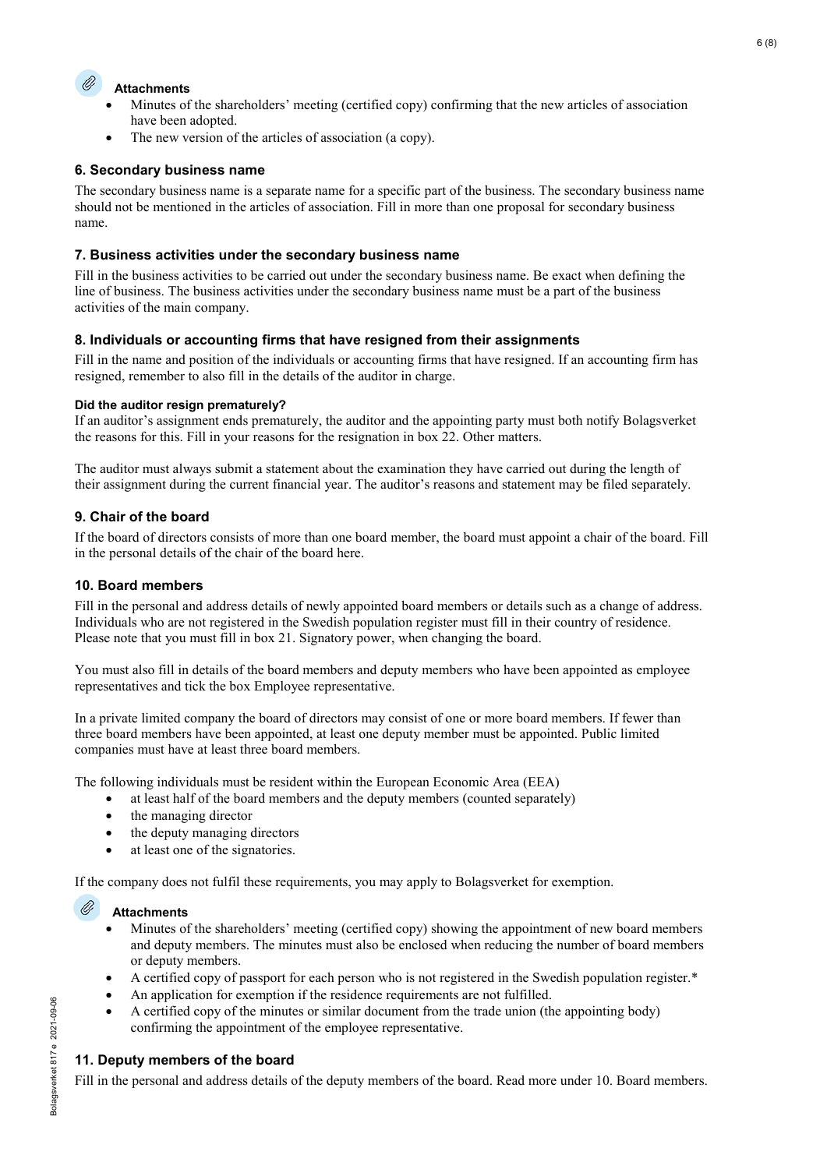

# **Attachments**

- Minutes of the shareholders' meeting (certified copy) confirming that the new articles of association have been adopted.
- The new version of the articles of association (a copy).

# **6. Secondary business name**

The secondary business name is a separate name for a specific part of the business. The secondary business name should not be mentioned in the articles of association. Fill in more than one proposal for secondary business name.

# **7. Business activities under the secondary business name**

Fill in the business activities to be carried out under the secondary business name. Be exact when defining the line of business. The business activities under the secondary business name must be a part of the business activities of the main company.

# **8. Individuals or accounting firms that have resigned from their assignments**

Fill in the name and position of the individuals or accounting firms that have resigned. If an accounting firm has resigned, remember to also fill in the details of the auditor in charge.

### **Did the auditor resign prematurely?**

If an auditor's assignment ends prematurely, the auditor and the appointing party must both notify Bolagsverket the reasons for this. Fill in your reasons for the resignation in box 22. Other matters.

The auditor must always submit a statement about the examination they have carried out during the length of their assignment during the current financial year. The auditor's reasons and statement may be filed separately.

# **9. Chair of the board**

If the board of directors consists of more than one board member, the board must appoint a chair of the board. Fill in the personal details of the chair of the board here.

# **10. Board members**

Fill in the personal and address details of newly appointed board members or details such as a change of address. Individuals who are not registered in the Swedish population register must fill in their country of residence. Please note that you must fill in box 21. Signatory power, when changing the board.

You must also fill in details of the board members and deputy members who have been appointed as employee representatives and tick the box Employee representative.

In a private limited company the board of directors may consist of one or more board members. If fewer than three board members have been appointed, at least one deputy member must be appointed. Public limited companies must have at least three board members.

The following individuals must be resident within the European Economic Area (EEA)

- at least half of the board members and the deputy members (counted separately)
- the managing director
- the deputy managing directors
- at least one of the signatories.

If the company does not fulfil these requirements, you may apply to Bolagsverket for exemption.

#### O) **Attachments**

- Minutes of the shareholders' meeting (certified copy) showing the appointment of new board members and deputy members. The minutes must also be enclosed when reducing the number of board members or deputy members.
- A certified copy of passport for each person who is not registered in the Swedish population register.\*
- An application for exemption if the residence requirements are not fulfilled.
- A certified copy of the minutes or similar document from the trade union (the appointing body) confirming the appointment of the employee representative.

### **11. Deputy members of the board**

Fill in the personal and address details of the deputy members of the board. Read more under 10. Board members.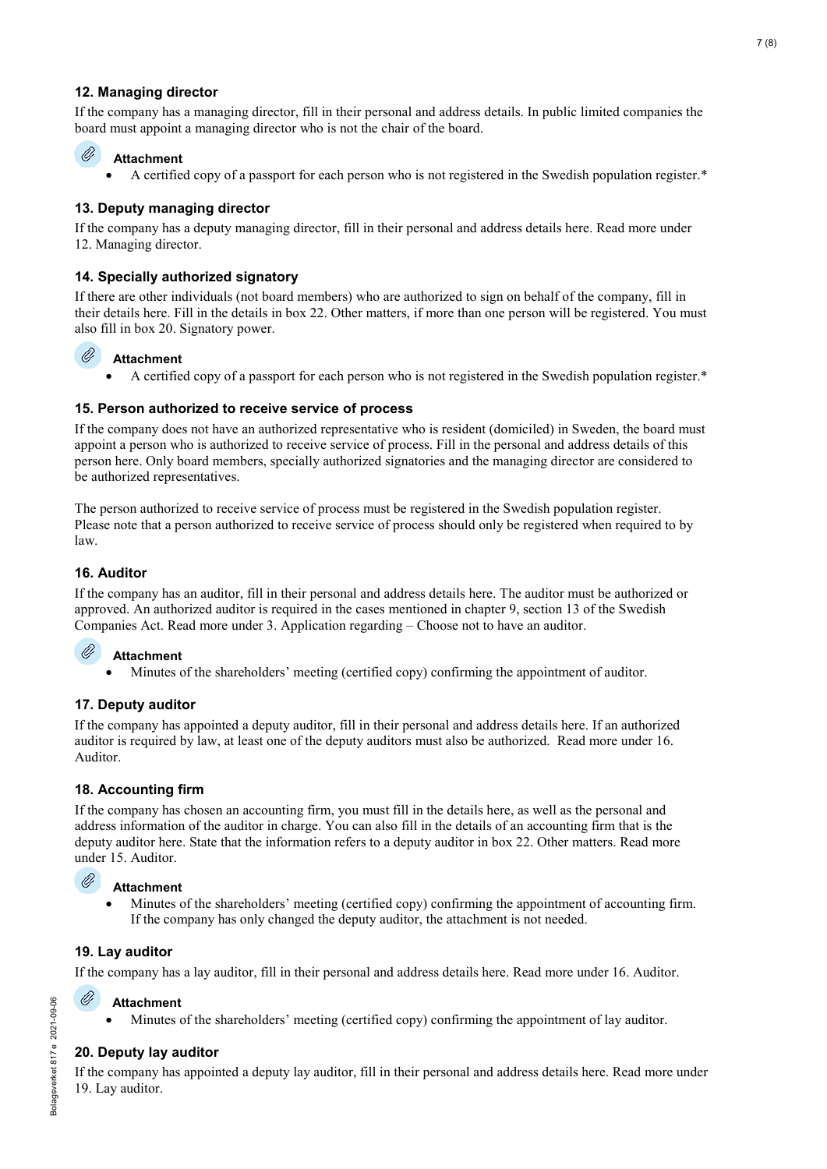# **12. Managing director**

If the company has a managing director, fill in their personal and address details. In public limited companies the board must appoint a managing director who is not the chair of the board.

#### Ø **Attachment**

• A certified copy of a passport for each person who is not registered in the Swedish population register.\*

# **13. Deputy managing director**

If the company has a deputy managing director, fill in their personal and address details here. Read more under 12. Managing director.

# **14. Specially authorized signatory**

If there are other individuals (not board members) who are authorized to sign on behalf of the company, fill in their details here. Fill in the details in box 22. Other matters, if more than one person will be registered. You must also fill in box 20. Signatory power.

#### Ø **Attachment**

• A certified copy of a passport for each person who is not registered in the Swedish population register.\*

# **15. Person authorized to receive service of process**

If the company does not have an authorized representative who is resident (domiciled) in Sweden, the board must appoint a person who is authorized to receive service of process. Fill in the personal and address details of this person here. Only board members, specially authorized signatories and the managing director are considered to be authorized representatives.

The person authorized to receive service of process must be registered in the Swedish population register. Please note that a person authorized to receive service of process should only be registered when required to by law.

# **16. Auditor**

If the company has an auditor, fill in their personal and address details here. The auditor must be authorized or approved. An authorized auditor is required in the cases mentioned in chapter 9, section 13 of the Swedish Companies Act. Read more under 3. Application regarding – Choose not to have an auditor.

#### O) **Attachment**

• Minutes of the shareholders' meeting (certified copy) confirming the appointment of auditor.

### **17. Deputy auditor**

If the company has appointed a deputy auditor, fill in their personal and address details here. If an authorized auditor is required by law, at least one of the deputy auditors must also be authorized. Read more under 16. Auditor.

### **18. Accounting firm**

If the company has chosen an accounting firm, you must fill in the details here, as well as the personal and address information of the auditor in charge. You can also fill in the details of an accounting firm that is the deputy auditor here. State that the information refers to a deputy auditor in box 22. Other matters. Read more under 15. Auditor.

#### O) **Attachment**

• Minutes of the shareholders' meeting (certified copy) confirming the appointment of accounting firm. If the company has only changed the deputy auditor, the attachment is not needed.

### **19. Lay auditor**

If the company has a lay auditor, fill in their personal and address details here. Read more under 16. Auditor.

#### **Attachment**

• Minutes of the shareholders' meeting (certified copy) confirming the appointment of lay auditor.

### **20. Deputy lay auditor**

If the company has appointed a deputy lay auditor, fill in their personal and address details here. Read more under 19. Lay auditor.

Ø